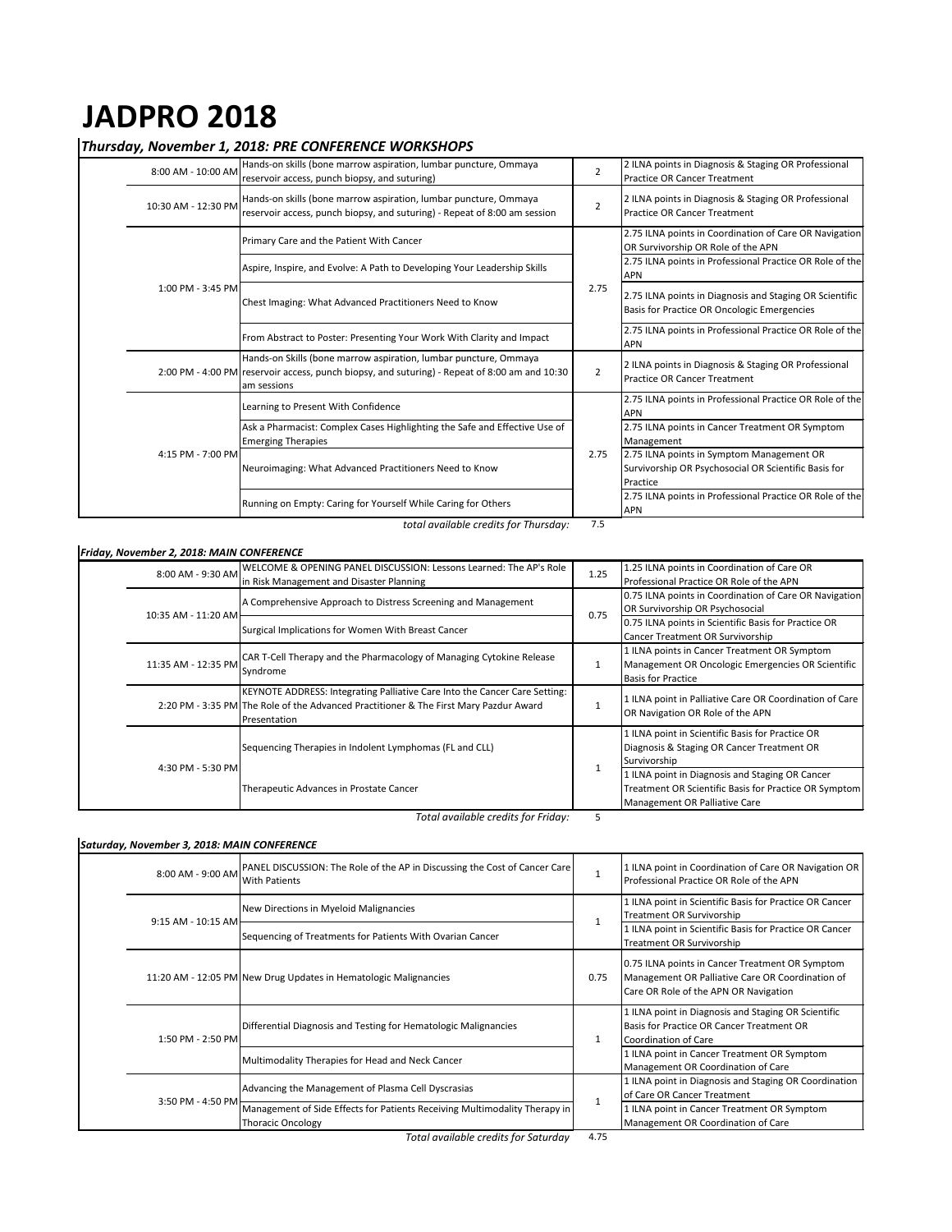# **JADPRO 2018**

*total available credits for Thursday:* 7.5

|  | 8:00 AM - 10:00 AM  | Hands-on skills (bone marrow aspiration, lumbar puncture, Ommaya<br>reservoir access, punch biopsy, and suturing)                                                                | $\overline{2}$ | 2 ILNA points in Diagnosis & Staging OR Professional<br><b>Practice OR Cancer Treatment</b>                   |
|--|---------------------|----------------------------------------------------------------------------------------------------------------------------------------------------------------------------------|----------------|---------------------------------------------------------------------------------------------------------------|
|  | 10:30 AM - 12:30 PM | Hands-on skills (bone marrow aspiration, lumbar puncture, Ommaya<br>reservoir access, punch biopsy, and suturing) - Repeat of 8:00 am session                                    | $\overline{2}$ | 2 ILNA points in Diagnosis & Staging OR Professional<br><b>Practice OR Cancer Treatment</b>                   |
|  | 1:00 PM - 3:45 PM   | Primary Care and the Patient With Cancer                                                                                                                                         | 2.75           | 2.75 ILNA points in Coordination of Care OR Navigation<br>OR Survivorship OR Role of the APN                  |
|  |                     | Aspire, Inspire, and Evolve: A Path to Developing Your Leadership Skills                                                                                                         |                | 2.75 ILNA points in Professional Practice OR Role of the<br><b>APN</b>                                        |
|  |                     | Chest Imaging: What Advanced Practitioners Need to Know                                                                                                                          |                | 2.75 ILNA points in Diagnosis and Staging OR Scientific<br>Basis for Practice OR Oncologic Emergencies        |
|  |                     | From Abstract to Poster: Presenting Your Work With Clarity and Impact                                                                                                            |                | 2.75 ILNA points in Professional Practice OR Role of the<br><b>APN</b>                                        |
|  |                     | Hands-on Skills (bone marrow aspiration, lumbar puncture, Ommaya<br>2:00 PM - 4:00 PM reservoir access, punch biopsy, and suturing) - Repeat of 8:00 am and 10:30<br>am sessions | $\overline{2}$ | 2 ILNA points in Diagnosis & Staging OR Professional<br><b>Practice OR Cancer Treatment</b>                   |
|  | 4:15 PM - 7:00 PM   | Learning to Present With Confidence                                                                                                                                              | 2.75           | 2.75 ILNA points in Professional Practice OR Role of the<br><b>APN</b>                                        |
|  |                     | Ask a Pharmacist: Complex Cases Highlighting the Safe and Effective Use of<br><b>Emerging Therapies</b>                                                                          |                | 2.75 ILNA points in Cancer Treatment OR Symptom<br>Management                                                 |
|  |                     | Neuroimaging: What Advanced Practitioners Need to Know                                                                                                                           |                | 2.75 ILNA points in Symptom Management OR<br>Survivorship OR Psychosocial OR Scientific Basis for<br>Practice |
|  |                     | Running on Empty: Caring for Yourself While Caring for Others                                                                                                                    |                | 2.75 ILNA points in Professional Practice OR Role of the<br><b>APN</b>                                        |

*Total available credits for Friday:* 5

|  | 8:00 AM - 9:30 AM   | WELCOME & OPENING PANEL DISCUSSION: Lessons Learned: The AP's Role                                                                                                                  | 1.25 | 1.25 ILNA points in Coordination of Care OR             |
|--|---------------------|-------------------------------------------------------------------------------------------------------------------------------------------------------------------------------------|------|---------------------------------------------------------|
|  |                     | in Risk Management and Disaster Planning                                                                                                                                            |      | Professional Practice OR Role of the APN                |
|  | 10:35 AM - 11:20 AM | A Comprehensive Approach to Distress Screening and Management                                                                                                                       | 0.75 | 0.75 ILNA points in Coordination of Care OR Navigation  |
|  |                     |                                                                                                                                                                                     |      | OR Survivorship OR Psychosocial                         |
|  |                     | Surgical Implications for Women With Breast Cancer                                                                                                                                  |      | 0.75 ILNA points in Scientific Basis for Practice OR    |
|  |                     |                                                                                                                                                                                     |      | <b>Cancer Treatment OR Survivorship</b>                 |
|  | 11:35 AM - 12:35 PM | CAR T-Cell Therapy and the Pharmacology of Managing Cytokine Release<br>Syndrome                                                                                                    |      | 1 ILNA points in Cancer Treatment OR Symptom            |
|  |                     |                                                                                                                                                                                     |      | Management OR Oncologic Emergencies OR Scientific       |
|  |                     |                                                                                                                                                                                     |      | <b>Basis for Practice</b>                               |
|  |                     | KEYNOTE ADDRESS: Integrating Palliative Care Into the Cancer Care Setting:<br>2:20 PM - 3:35 PM The Role of the Advanced Practitioner & The First Mary Pazdur Award<br>Presentation |      | 1 ILNA point in Palliative Care OR Coordination of Care |
|  |                     |                                                                                                                                                                                     |      | OR Navigation OR Role of the APN                        |
|  |                     |                                                                                                                                                                                     |      |                                                         |
|  | 4:30 PM - 5:30 PM   | Sequencing Therapies in Indolent Lymphomas (FL and CLL)                                                                                                                             |      | 1 ILNA point in Scientific Basis for Practice OR        |
|  |                     |                                                                                                                                                                                     |      | Diagnosis & Staging OR Cancer Treatment OR              |
|  |                     |                                                                                                                                                                                     |      | Survivorship                                            |
|  |                     | Therapeutic Advances in Prostate Cancer                                                                                                                                             |      | 1 ILNA point in Diagnosis and Staging OR Cancer         |
|  |                     |                                                                                                                                                                                     |      | Treatment OR Scientific Basis for Practice OR Symptom   |
|  |                     |                                                                                                                                                                                     |      | Management OR Palliative Care                           |

|  | 8:00 AM - 9:00 AM  | <b>PANEL DISCUSSION: The Role of the AP in Discussing the Cost of Cancer Care</b><br><b>With Patients</b> |      | 1 ILNA point in Coordination of Care OR Navigation OR<br>Professional Practice OR Role of the APN                                            |
|--|--------------------|-----------------------------------------------------------------------------------------------------------|------|----------------------------------------------------------------------------------------------------------------------------------------------|
|  | 9:15 AM - 10:15 AM | New Directions in Myeloid Malignancies                                                                    |      | 1 ILNA point in Scientific Basis for Practice OR Cancer<br><b>Treatment OR Survivorship</b>                                                  |
|  |                    | Sequencing of Treatments for Patients With Ovarian Cancer                                                 |      | 1 ILNA point in Scientific Basis for Practice OR Cancer<br>Treatment OR Survivorship                                                         |
|  |                    | 11:20 AM - 12:05 PM New Drug Updates in Hematologic Malignancies                                          | 0.75 | 0.75 ILNA points in Cancer Treatment OR Symptom<br>Management OR Palliative Care OR Coordination of<br>Care OR Role of the APN OR Navigation |
|  | 1:50 PM - 2:50 PM  | Differential Diagnosis and Testing for Hematologic Malignancies                                           |      | 1 ILNA point in Diagnosis and Staging OR Scientific<br>Basis for Practice OR Cancer Treatment OR<br>Coordination of Care                     |
|  |                    | Multimodality Therapies for Head and Neck Cancer                                                          |      | 1 ILNA point in Cancer Treatment OR Symptom<br>Management OR Coordination of Care                                                            |
|  | 3:50 PM - 4:50 PM  | Advancing the Management of Plasma Cell Dyscrasias                                                        |      | 1 ILNA point in Diagnosis and Staging OR Coordination<br>of Care OR Cancer Treatment                                                         |
|  |                    | Management of Side Effects for Patients Receiving Multimodality Therapy in<br><b>Thoracic Oncology</b>    |      | 1 ILNA point in Cancer Treatment OR Symptom<br>Management OR Coordination of Care                                                            |

*Total available credits for Saturday* 4.75

#### *Saturday, November 3, 2018: MAIN CONFERENCE*

### *Friday, November 2, 2018: MAIN CONFERENCE*

## *Thursday, November 1, 2018: PRE CONFERENCE WORKSHOPS*